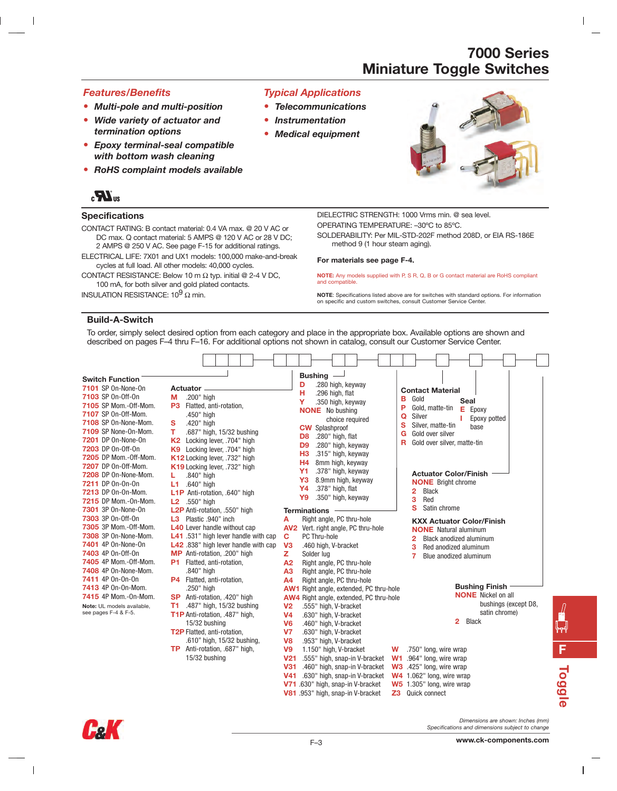#### *Features/Benefits*

 $\overline{\phantom{a}}$ 

- **•** *Multi-pole and multi-position*
- **•** *Wide variety of actuator and termination options*
- **•** *Epoxy terminal-seal compatible with bottom wash cleaning*
- **•** *RoHS complaint models available*

## $\mathbf{R}_1$

#### **Specifications**

CONTACT RATING: B contact material: 0.4 VA max. @ 20 V AC or DC max. Q contact material: 5 AMPS @ 120 V AC or 28 V DC; 2 AMPS @ 250 V AC. See page F-15 for additional ratings.

ELECTRICAL LIFE: 7X01 and UX1 models: 100,000 make-and-break cycles at full load. All other models: 40,000 cycles.

CONTACT RESISTANCE: Below 10 m  $\Omega$  typ. initial @ 2-4 V DC, 100 mA, for both silver and gold plated contacts.

INSULATION RESISTANCE:  $10^9$   $\Omega$  min.

#### *Typical Applications*

- **•** *Telecommunications*
- **•** *Instrumentation*
- **•** *Medical equipment*



DIELECTRIC STRENGTH: 1000 Vrms min. @ sea level. OPERATING TEMPERATURE: –30ºC to 85ºC.

SOLDERABILITY: Per MIL-STD-202F method 208D, or EIA RS-186E method 9 (1 hour steam aging).

#### **For materials see page F-4.**

**NOTE:** Any models supplied with P, S R, Q, B or G contact material are RoHS compliant and compatible.

**NOTE**: Specifications listed above are for switches with standard options. For information on specific and custom switches, consult Customer Service Center.

#### **Build-A-Switch**

To order, simply select desired option from each category and place in the appropriate box. Available options are shown and described on pages F–4 thru F–16. For additional options not shown in catalog, consult our Customer Service Center.

| <b>Switch Function</b><br>7101 SP On-None-On<br>7103 SP 0n-0ff-0n<br>7105 SP Mom.-Off-Mom.<br>7107 SP 0n-0ff-Mom.<br>7108 SP On-None-Mom.<br>7109 SP None-On-Mom.<br>7201 DP 0n-None-0n<br>7203 DP 0n-0ff-0n<br><b>7205</b> DP Mom.-Off-Mom.<br><b>7207</b> DP 0n-0ff-Mom.<br>7208 DP On-None-Mom.<br>7211 DP 0n-0n-0n<br>7213 DP 0n-0n-Mom.<br><b>7215</b> DP Mom.-On-Mom.<br>7301 3P On-None-On<br>7303 3P 0n-0ff-0n<br>7305 3P Mom.-Off-Mom.<br>7308 3P On-None-Mom.<br>7401 4P On-None-On<br>7403 4P 0n-0ff-0n<br><b>7405</b> 4P Mom.-Off-Mom. | Actuator -<br>.200" high<br>м<br><b>P3</b> Flatted, anti-rotation,<br>.450" high<br>.420" high<br>s<br>.687" high, 15/32 bushing<br>т<br>Locking lever, .704" high<br><b>K2</b><br>Locking lever, .704" high<br>K9<br>K12 Locking lever, .732" high<br>K19 Locking lever, .732" high<br>.840" high<br>L<br>L1 .640" high<br>L1P Anti-rotation, .640" high<br>$L2$ .550" high<br>L2P Anti-rotation, .550" high<br>L3 Plastic .940" inch<br><b>L40</b> Lever handle without cap<br>L41 .531" high lever handle with cap<br>L42.838" high lever handle with cap<br>MP Anti-rotation, .200" high<br>P1 Flatted, anti-rotation, | Bushing —<br>.280 high, keyway<br>D<br><b>Contact Material</b><br>н<br>.296 high, flat<br>в<br>Gold<br>Seal<br>Y<br>.350 high, keyway<br>P<br>Gold, matte-tin<br>Е<br>Epoxy<br><b>NONE</b> No bushing<br>Silver<br>Q<br>Epoxy potted<br>choice required<br>s<br>Silver, matte-tin<br>base<br><b>CW</b> Splashproof<br>Gold over silver<br>G<br>.280" high, flat<br>D <sub>8</sub><br>Gold over silver, matte-tin<br>R<br>.280" high, keyway<br>D <sub>9</sub><br>H <sub>3</sub><br>.315" high, keyway<br>H <sub>4</sub><br>8mm high, keyway<br><b>Y1</b><br>.378" high, keyway<br><b>Actuator Color/Finish</b><br>8.9mm high, keyway<br>Y3<br><b>NONE</b> Bright chrome<br>.378" high, flat<br>Y4<br><b>Black</b><br>2<br>.350" high, keyway<br>Y9<br>3<br>Red<br>s<br>Satin chrome<br><b>Terminations</b><br>Right angle, PC thru-hole<br>А<br><b>KXX Actuator Color/Finish</b><br>AV2 Vert. right angle, PC thru-hole<br><b>NONE</b> Natural aluminum<br>$\mathbf c$<br>PC Thru-hole<br>Black anodized aluminum<br>2<br>V <sub>3</sub><br>.460 high, V-bracket<br>з<br>Red anodized aluminum<br>z<br>Solder lug<br>7<br>Blue anodized aluminum<br>Right angle, PC thru-hole<br>A <sub>2</sub> |
|----------------------------------------------------------------------------------------------------------------------------------------------------------------------------------------------------------------------------------------------------------------------------------------------------------------------------------------------------------------------------------------------------------------------------------------------------------------------------------------------------------------------------------------------------|----------------------------------------------------------------------------------------------------------------------------------------------------------------------------------------------------------------------------------------------------------------------------------------------------------------------------------------------------------------------------------------------------------------------------------------------------------------------------------------------------------------------------------------------------------------------------------------------------------------------------|-------------------------------------------------------------------------------------------------------------------------------------------------------------------------------------------------------------------------------------------------------------------------------------------------------------------------------------------------------------------------------------------------------------------------------------------------------------------------------------------------------------------------------------------------------------------------------------------------------------------------------------------------------------------------------------------------------------------------------------------------------------------------------------------------------------------------------------------------------------------------------------------------------------------------------------------------------------------------------------------------------------------------------------------------------------------------------------------------------------------------------------------------------------------------------------------------|
| 7408 4P On-None-Mom.<br>7411 4P 0n-0n-0n<br>7413 4P On-On-Mom.<br>7415 4P Mom.-0n-Mom.<br>Note: UL models available,<br>see pages F-4 & F-5.                                                                                                                                                                                                                                                                                                                                                                                                       | .840" high<br>P4 Flatted, anti-rotation,<br>.250" high<br>SP Anti-rotation, .420" high<br>T1.<br>.487" high, 15/32 bushing<br>T1P Anti-rotation, .487" high,<br>15/32 bushing<br>T2P Flatted, anti-rotation,<br>.610" high, 15/32 bushing,<br>TP Anti-rotation, .687" high,<br>15/32 bushing                                                                                                                                                                                                                                                                                                                               | A <sub>3</sub><br>Right angle, PC thru-hole<br>Right angle, PC thru-hole<br>A <sub>4</sub><br><b>Bushing Finish</b><br><b>AW1</b> Right angle, extended, PC thru-hole<br><b>NONE</b> Nickel on all<br><b>AW4</b> Right angle, extended, PC thru-hole<br>bushings (except D8,<br>V <sub>2</sub><br>.555" high, V-bracket<br>satin chrome)<br>V <sub>4</sub><br>.630" high, V-bracket<br>2<br><b>Black</b><br>V <sub>6</sub><br>.460" high, V-bracket<br>V <sub>7</sub><br>.630" high, V-bracket<br>V <sub>8</sub><br>.953" high, V-bracket<br>V <sub>9</sub><br>1.150" high, V-bracket<br>.750" long, wire wrap<br>W<br>V <sub>21</sub><br>W1 .964" long, wire wrap<br>.555" high, snap-in V-bracket<br>W3 .425" long, wire wrap<br><b>V31</b><br>.460" high, snap-in V-bracket<br>W4 1.062" long, wire wrap<br>V41 .630" high, snap-in V-bracket<br>V71 630" high, snap-in V-bracket<br>W5 1.305" long, wire wrap<br>V81 .953" high, snap-in V-bracket<br><b>Z3</b> Quick connect                                                                                                                                                                                                               |



 $\mathsf{I}$ 

*Dimensions are shown: Inches (mm) Specifications and dimensions subject to change*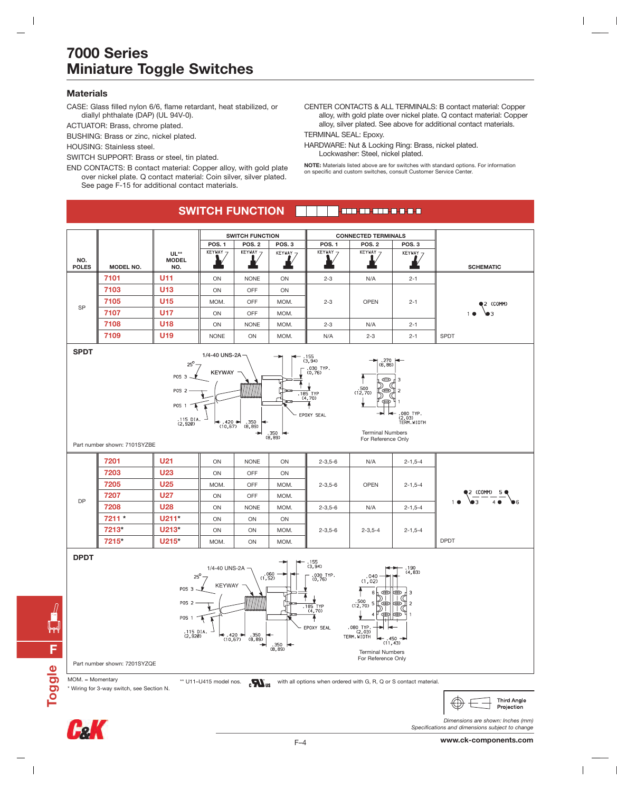#### **Materials**

 $\overline{\phantom{a}}$ 

CASE: Glass filled nylon 6/6, flame retardant, heat stabilized, or diallyl phthalate (DAP) (UL 94V-0).

ACTUATOR: Brass, chrome plated.

BUSHING: Brass or zinc, nickel plated.

HOUSING: Stainless steel.

SWITCH SUPPORT: Brass or steel, tin plated.

END CONTACTS: B contact material: Copper alloy, with gold plate over nickel plate. Q contact material: Coin silver, silver plated. See page F-15 for additional contact materials.

CENTER CONTACTS & ALL TERMINALS: B contact material: Copper alloy, with gold plate over nickel plate. Q contact material: Copper alloy, silver plated. See above for additional contact materials.

 $\overline{\phantom{a}}$ 

TERMINAL SEAL: Epoxy.

HARDWARE: Nut & Locking Ring: Brass, nickel plated. Lockwasher: Steel, nickel plated.

**NOTE:** Materials listed above are for switches with standard options. For information on specific and custom switches, consult Customer Service Center.

#### **SWITCH FUNCTIONT-BER-BR-BRD-B-B-B-B**





 $\overline{\phantom{a}}$ 

*Dimensions are shown: Inches (mm)*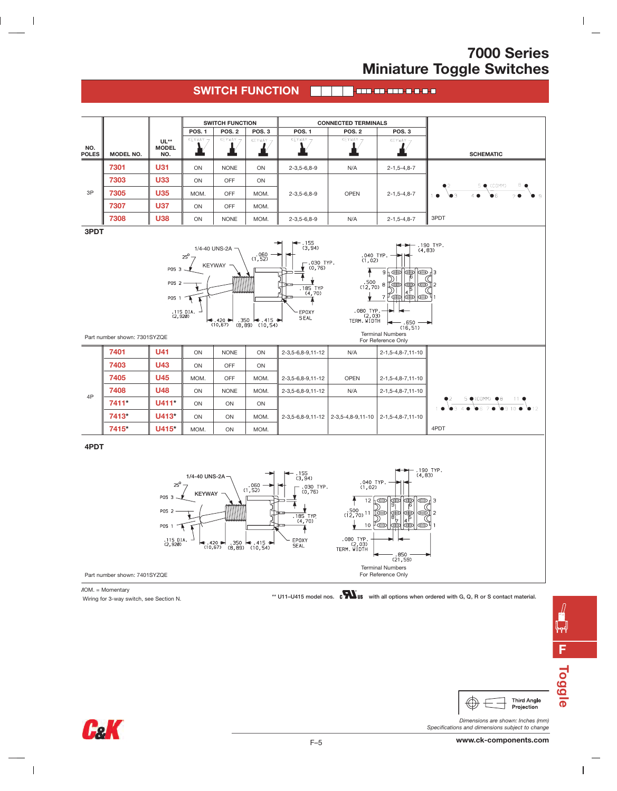$\overline{\phantom{a}}$ 

#### **SWITCH FUNCTION**



MOM. = Momentary

 $\mathsf I$ 

\* Wiring for 3-way switch, see Section N. **\*\* U11–U415 model nos. with all options when ordered with G, Q, R or S contact material.**

 $\sqrt{ }$ **FToggle**

 $\overline{1}$ 



*Dimensions are shown: Inches (mm) Specifications and dimensions subject to change*



 $\oplus$ 



 $\overline{\phantom{a}}$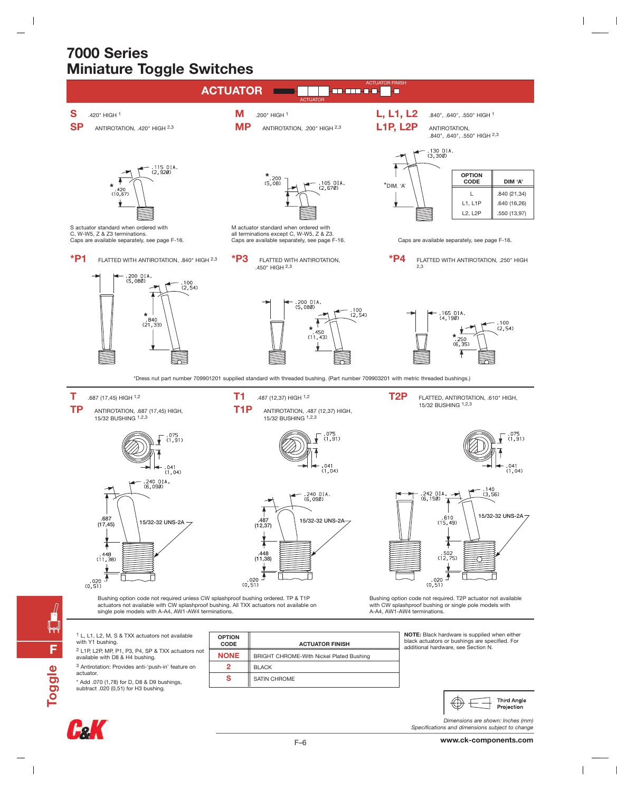$\overline{\phantom{a}}$ 





**F**

ᆙ┯

**Toggle**

 $\overline{\phantom{a}}$ 



 $\bigoplus$ 

*Dimensions are shown: Inches (mm)*

**Third Angle** 

Projection

 $\overline{\phantom{a}}$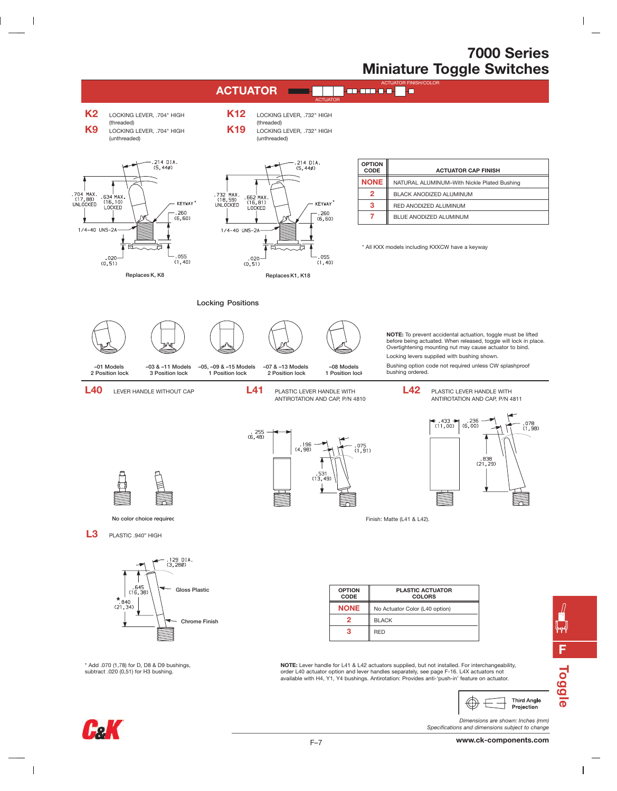$\overline{\phantom{a}}$ 





 $\overline{\phantom{a}}$ 

 $\overline{\phantom{a}}$ 

**F**

 $\frac{1}{\gamma}$ 

**Toggle**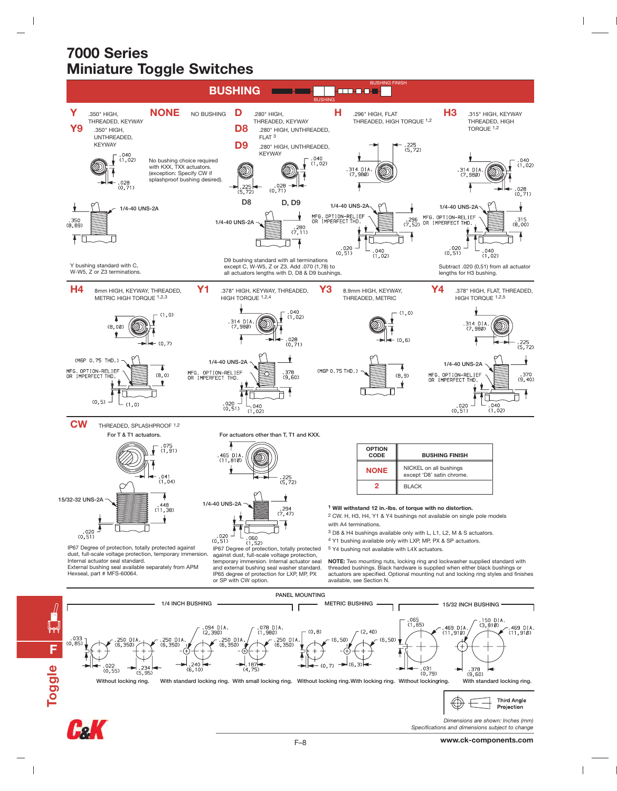$\overline{\phantom{a}}$ 



**Fe K** 

**F**

**Toggle**

 $\overline{\phantom{a}}$ 

**www.ck-components.com**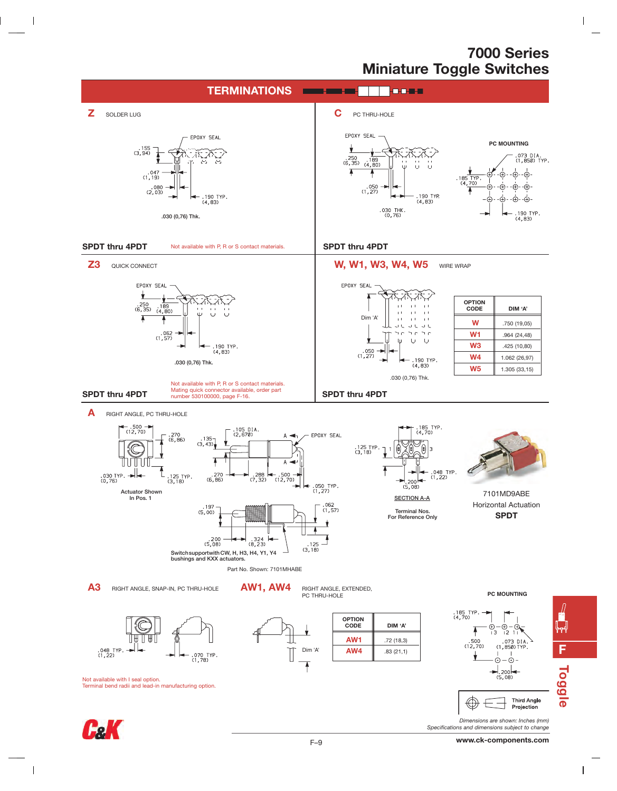$\mathbf{I}$ 



 $\overline{\phantom{a}}$ 

 $\overline{\phantom{a}}$ 

**F**

 $\overline{1}$ 

ฟ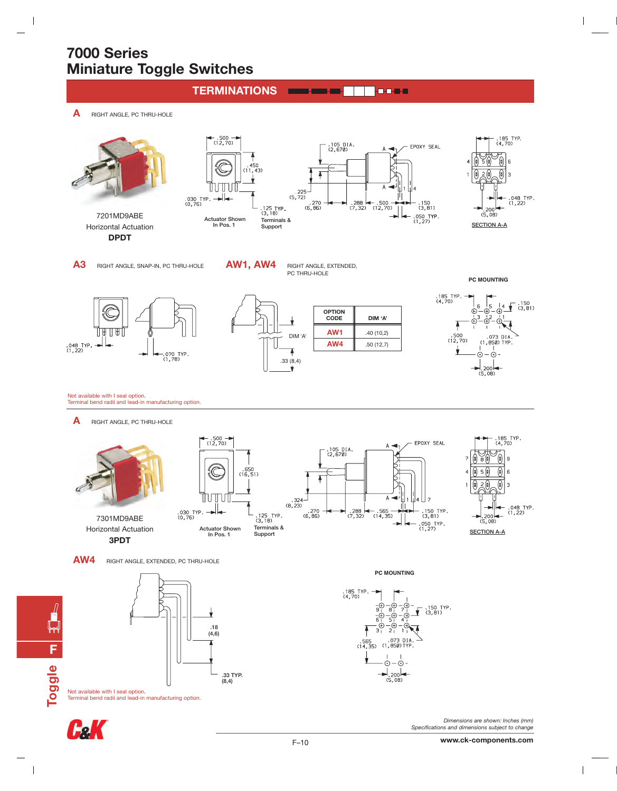$\overline{\phantom{a}}$ 





 $\overline{\phantom{a}}$ 

**www.ck-components.com**

 $\overline{1}$ 

 $\mathsf I$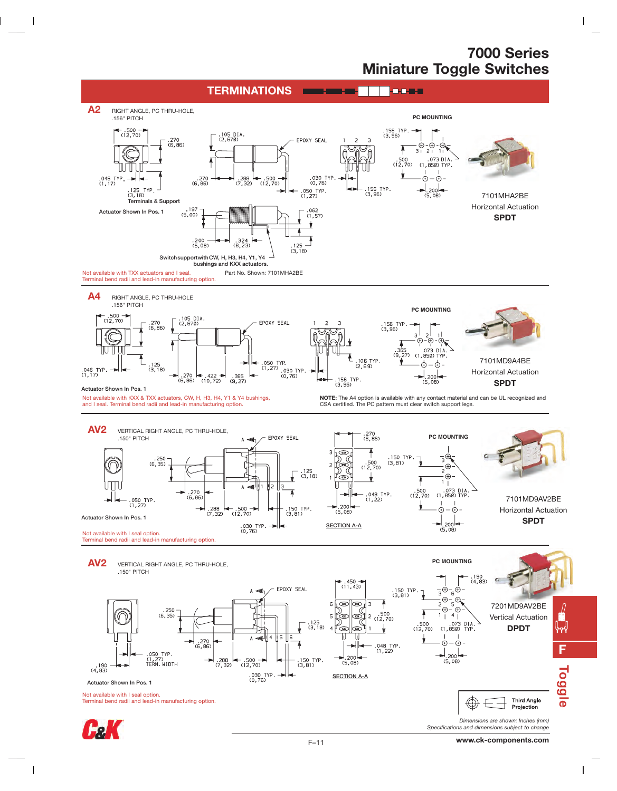$\overline{\phantom{a}}$ 

 $\overline{1}$ 



 $\overline{\phantom{a}}$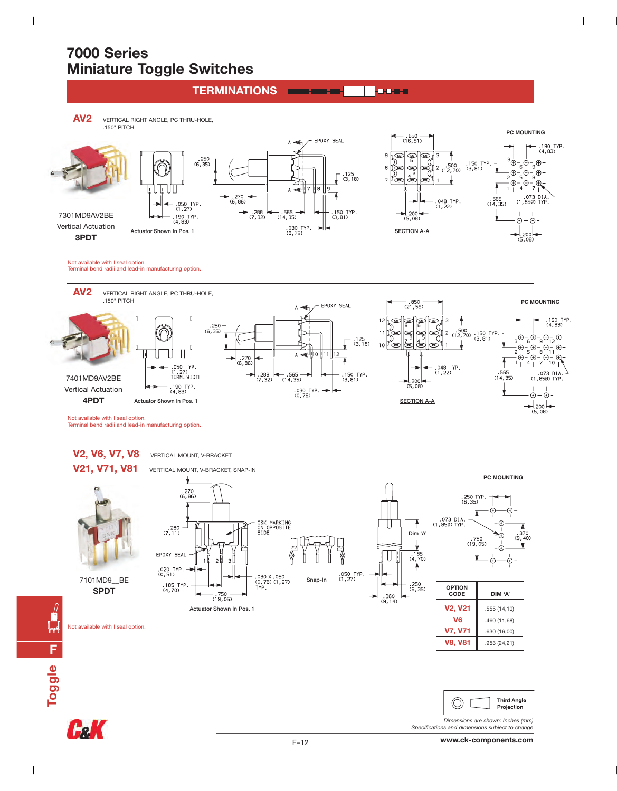**TERMINATIONS**

**AV2** VERTICAL RIGHT ANGLE, PC THRU-HOLE, .150" PITCH

 $\overline{\phantom{a}}$ 



Not available with I seal option. Terminal bend radii and lead-in manufacturing option.



# V2, V6, V7, V8 **VERTICAL MOUNT, V-BRACKET**

7101MD9\_\_BE **SPDT**



Not available with I seal option.

 $\overline{\phantom{a}}$ 

W



**Third Angle** Projection *Dimensions are shown: Inches (mm)*

*Specifications and dimensions subject to change*

**V7, V71** .630 (16,00) **V8, V81** .953 (24,21)

⊝

(4)

 $.370$ <br>(9,40)

 $\overline{1}$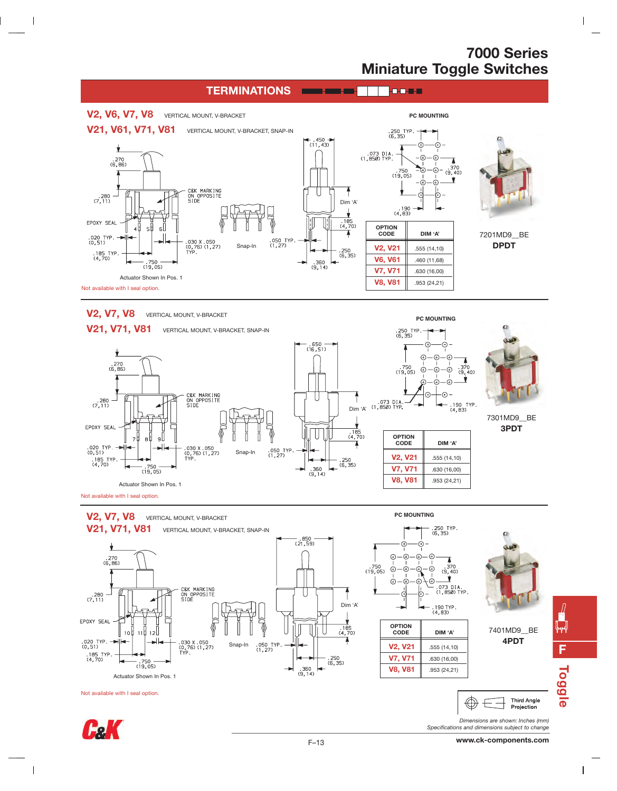$\overline{\phantom{a}}$ 

**PC MOUNTING**



V2, V7, V8 **VERTICAL MOUNT, V-BRACKET** 

 $\mathsf I$ 

 $\overline{\phantom{a}}$ 





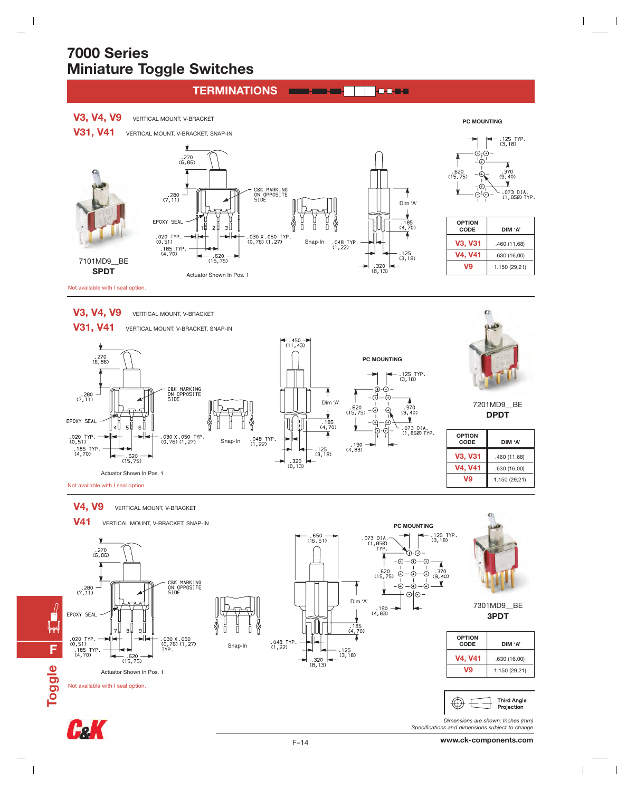$\overline{\phantom{a}}$ 

**F**

┞┯

**Toggle**

 $\overline{\phantom{a}}$ 



 $\overline{1}$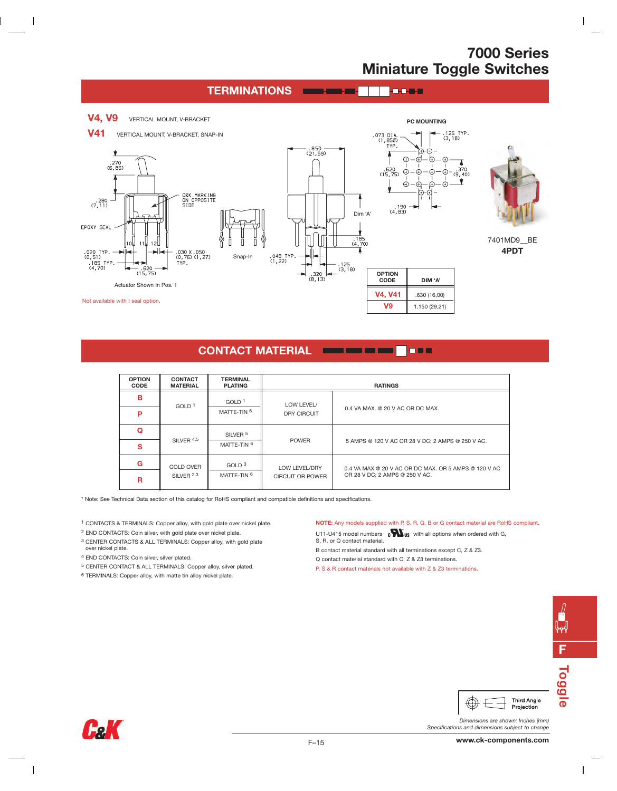$\overline{\phantom{a}}$ 

#### **TERMINATIONS**



#### **CONTACT MATERIAL**

| <b>OPTION</b><br><b>CODE</b> | <b>CONTACT</b><br><b>MATERIAL</b> | <b>TERMINAL</b><br><b>PLATING</b> | <b>RATINGS</b>                           |                                                                                        |
|------------------------------|-----------------------------------|-----------------------------------|------------------------------------------|----------------------------------------------------------------------------------------|
| в                            | GOLD <sup>1</sup>                 | GOLD <sup>1</sup>                 | LOW LEVEL/<br><b>DRY CIRCUIT</b>         | 0.4 VA MAX, @ 20 V AC OR DC MAX.                                                       |
| P                            |                                   | MATTE-TIN <sup>6</sup>            |                                          |                                                                                        |
| Q                            | SILVER <sup>4,5</sup>             | SILVER <sup>5</sup>               | <b>POWER</b>                             | 5 AMPS @ 120 V AC OR 28 V DC; 2 AMPS @ 250 V AC.                                       |
| s                            |                                   | MATTE-TIN 6                       |                                          |                                                                                        |
| G                            | <b>GOLD OVER</b>                  | GOLD <sup>3</sup>                 | LOW LEVEL/DRY<br><b>CIRCUIT OR POWER</b> | 0.4 VA MAX @ 20 V AC OR DC MAX, OR 5 AMPS @ 120 V AC<br>OR 28 V DC: 2 AMPS @ 250 V AC. |
| R                            | SILVER <sup>2,3</sup>             | MATTE-TIN 6                       |                                          |                                                                                        |

\* Note: See Technical Data section of this catalog for RoHS compliant and compatible definitions and specifications.

1 CONTACTS & TERMINALS: Copper alloy, with gold plate over nickel plate.

2 END CONTACTS: Coin silver, with gold plate over nickel plate.

3 CENTER CONTACTS & ALL TERMINALS: Copper alloy, with gold plate over nickel plate.

4 END CONTACTS: Coin silver, silver plated.

 $\overline{\phantom{a}}$ 

- 5 CENTER CONTACT & ALL TERMINALS: Copper alloy, silver plated.
- 6 TERMINALS: Copper alloy, with matte tin alloy nickel plate.

#### **NOTE:** Any models supplied with P, S, R, Q, B or G contact material are RoHS compliant.

U11-U415 model numbers  $\mathbf{c}$   $\mathbf{W}_{\text{US}}$  with all options when ordered with G,

S, R, or Q contact material.

B contact material standard with all terminations except C, Z & Z3.

Q contact material standard with C, Z & Z3 terminations.

P, S & R contact materials not available with Z & Z3 terminations.



 $\overline{\phantom{a}}$ 



*Dimensions are shown: Inches (mm)*



 $\overline{\phantom{a}}$ 

*Specifications and dimensions subject to change* **www.ck-components.com**

 $\bigoplus$